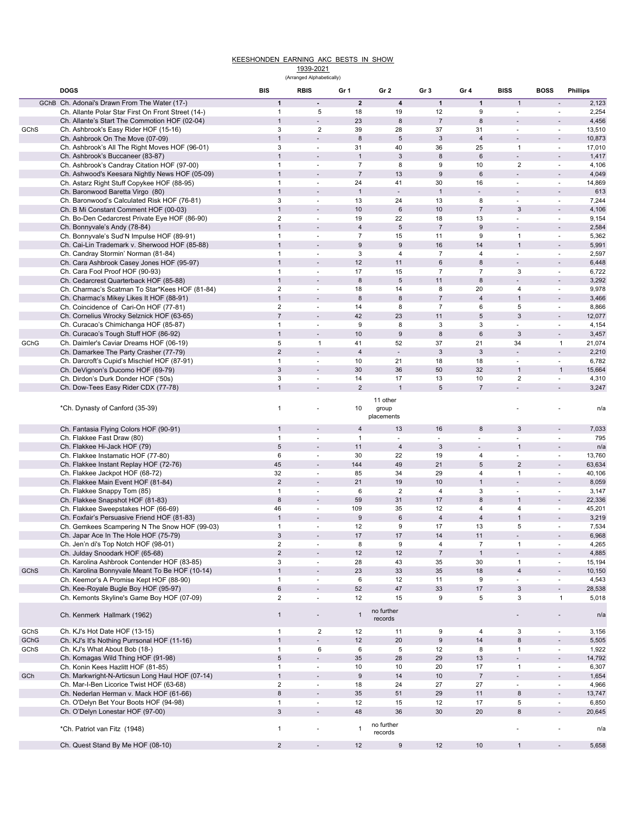## KEESHONDEN EARNING AKC BESTS IN SHOW

1939-2021 (Arranged Alphabetically)

|      |                                                    |     |                                | (An anyou Alphabeticall) |                  |                          |                  |                  |                           |                          |                 |
|------|----------------------------------------------------|-----|--------------------------------|--------------------------|------------------|--------------------------|------------------|------------------|---------------------------|--------------------------|-----------------|
|      | <b>DOGS</b>                                        | BIS |                                | <b>RBIS</b>              | Gr 1             | Gr 2                     | Gr <sub>3</sub>  | Gr 4             | <b>BISS</b>               | <b>BOSS</b>              | <b>Phillips</b> |
|      |                                                    |     |                                | $\blacksquare$           | $\overline{2}$   | $\pmb{4}$                | $\mathbf{1}$     | $\overline{1}$   | $\mathbf{1}$              |                          |                 |
|      | GChB Ch. Adonai's Drawn From The Water (17-)       |     | $\mathbf{1}$                   |                          |                  |                          |                  |                  |                           |                          | 2,123           |
|      | Ch. Allante Polar Star First On Front Street (14-) |     | $\mathbf{1}$                   | 5                        | 18               | 19                       | 12               | 9                | ä,                        | ×.                       | 2,254           |
|      | Ch. Allante's Start The Commotion HOF (02-04)      |     | $\mathbf{1}$<br>3              | $\overline{2}$           | 23<br>39         | $\bf 8$                  | $\sqrt{7}$<br>37 | 8<br>31          |                           |                          | 4,456           |
| GChS | Ch. Ashbrook's Easy Rider HOF (15-16)              |     | $\mathbf{1}$                   | $\overline{a}$           | $\bf 8$          | 28<br>$\sqrt{5}$         | $\mathbf{3}$     | $\sqrt{4}$       | ÷,                        | $\overline{\phantom{a}}$ | 13,510          |
|      | Ch. Ashbrook On The Move (07-09)                   |     |                                | ÷.                       |                  |                          |                  |                  |                           | ×.                       | 10,873          |
|      | Ch. Ashbrook's All The Right Moves HOF (96-01)     |     | $\mathbf{3}$<br>$\overline{1}$ |                          | 31               | 40                       | 36               | 25               | $\mathbf{1}$              |                          | 17,010          |
|      | Ch. Ashbrook's Buccaneer (83-87)                   |     |                                |                          | $\overline{1}$   | $\sqrt{3}$               | $\bf 8$          | 6                |                           | $\overline{\phantom{a}}$ | 1,417           |
|      | Ch. Ashbrook's Candray Citation HOF (97-00)        |     | $\overline{1}$                 |                          | $\overline{7}$   | 8                        | 9                | 10               | $\overline{2}$            | ٠                        | 4,106           |
|      | Ch. Ashwood's Keesara Nightly News HOF (05-09)     |     | $\mathbf{1}$                   |                          | $\overline{7}$   | 13                       | 9                | 6                |                           | $\overline{\phantom{a}}$ | 4,049           |
|      | Ch. Astarz Right Stuff Copykee HOF (88-95)         |     | $\mathbf{1}$                   | $\sim$                   | 24               | 41                       | 30               | 16               | ä,                        | $\sim$                   | 14,869          |
|      | Ch. Baronwood Baretta Virgo (80)                   |     | $\mathbf{1}$                   |                          | $\mathbf{1}$     | $\blacksquare$           | $\overline{1}$   |                  |                           | $\overline{\phantom{a}}$ | 613             |
|      | Ch. Baronwood's Calculated Risk HOF (76-81)        |     | 3                              | $\sim$                   | 13               | 24                       | 13               | 8                | ä,                        | $\overline{\phantom{a}}$ | 7,244           |
|      | Ch. B Mi Constant Comment HOF (00-03)              |     | $\mathbf{1}$                   |                          | 10               | $\,6$                    | 10               | $\boldsymbol{7}$ | 3                         |                          | 4,106           |
|      | Ch. Bo-Den Cedarcrest Private Eye HOF (86-90)      |     | $\overline{2}$                 | $\sim$                   | 19               | 22                       | 18               | 13               | ä,                        | $\overline{\phantom{a}}$ | 9,154           |
|      | Ch. Bonnyvale's Andy (78-84)                       |     | $\mathbf{1}$                   |                          | $\sqrt{4}$       | $\mathbf 5$              | $\overline{7}$   | $\boldsymbol{9}$ |                           |                          | 2,584           |
|      | Ch. Bonnyvale's Sud'N Impulse HOF (89-91)          |     | $\mathbf{1}$                   | $\sim$                   | $\overline{7}$   | 15                       | 11               | 9                | $\overline{1}$            | $\blacksquare$           | 5,362           |
|      | Ch. Cai-Lin Trademark v. Sherwood HOF (85-88)      |     | $\overline{1}$                 |                          | $\boldsymbol{9}$ | $\boldsymbol{9}$         | 16               | 14               | $\overline{1}$            | $\overline{\phantom{a}}$ | 5,991           |
|      | Ch. Candray Stormin' Norman (81-84)                |     | $\mathbf{1}$                   | $\sim$                   | 3                | 4                        | $\overline{7}$   | 4                | ä,                        | $\overline{\phantom{a}}$ | 2,597           |
|      | Ch. Cara Ashbrook Casey Jones HOF (95-97)          |     | $\mathbf{1}$                   |                          | 12               | 11                       | 6                | 8                |                           | $\overline{\phantom{a}}$ | 6,448           |
|      | Ch. Cara Fool Proof HOF (90-93)                    |     | $\mathbf{1}$                   | $\blacksquare$           | 17               | 15                       | $\overline{7}$   | $\overline{7}$   | 3                         | $\blacksquare$           | 6,722           |
|      | Ch. Cedarcrest Quarterback HOF (85-88)             |     | $\mathbf{1}$                   |                          | $\bf8$           | $\sqrt{5}$               | 11               | 8                | $\overline{a}$            | $\blacksquare$           | 3,292           |
|      | Ch. Charmac's Scatman To Star*Kees HOF (81-84)     |     | $\overline{2}$                 |                          | 18               | 14                       | 8                | 20               | 4                         | $\overline{\phantom{a}}$ | 9,978           |
|      | Ch. Charmac's Mikey Likes It HOF (88-91)           |     | $\mathbf{1}$                   |                          | 8                | $\bf8$                   | $\overline{7}$   | 4                | $\mathbf{1}$              | $\overline{\phantom{a}}$ | 3,466           |
|      | Ch. Coincidence of Cari-On HOF (77-81)             |     | 2                              |                          | 14               | 8                        | $\overline{7}$   | 6                | 5                         | ×.                       | 8,866           |
|      | Ch. Cornelius Wrocky Selznick HOF (63-65)          |     | $\overline{7}$                 |                          | 42               | 23                       | 11               | $\mathbf 5$      | 3                         | $\overline{a}$           | 12,077          |
|      | Ch. Curacao's Chimichanga HOF (85-87)              |     | $\mathbf{1}$                   |                          | 9                | 8                        | 3                | 3                | ٠                         | ٠                        | 4,154           |
|      | Ch. Curacao's Tough Stuff HOF (86-92)              |     | $\overline{1}$                 |                          | 10               | $\boldsymbol{9}$         | 8                | $\,6\,$          | 3                         | $\overline{\phantom{a}}$ | 3,457           |
| GChG | Ch. Daimler's Caviar Dreams HOF (06-19)            |     | 5                              | $\mathbf{1}$             | 41               | 52                       | 37               | 21               | 34                        | $\mathbf{1}$             | 21,074          |
|      | Ch. Damarkee The Party Crasher (77-79)             |     | $\overline{2}$                 | $\blacksquare$           | $\overline{4}$   | $\overline{\phantom{a}}$ | $\mathbf{3}$     | $\sqrt{3}$       | $\blacksquare$            | $\overline{\phantom{a}}$ | 2,210           |
|      | Ch. Darcroft's Cupid's Mischief HOF (87-91)        |     | $\mathbf{1}$                   | ÷.                       | 10               | 21                       | 18               | 18               |                           | $\overline{\phantom{a}}$ | 6,782           |
|      | Ch. DeVignon's Ducomo HOF (69-79)                  |     | 3                              |                          | 30               | 36                       | 50               | 32               | $\overline{1}$            | $\mathbf{1}$             | 15,664          |
|      | Ch. Dirdon's Durk Donder HOF ('50s)                |     | 3                              | $\sim$                   | 14               | 17                       | 13               | 10               | $\overline{2}$            | $\overline{\phantom{a}}$ | 4,310           |
|      |                                                    |     | $\mathbf{1}$                   |                          | $\overline{2}$   | $\overline{1}$           | $\sqrt{5}$       | $\overline{7}$   |                           |                          |                 |
|      | Ch. Dow-Tees Easy Rider CDX (77-78)                |     |                                |                          |                  |                          |                  |                  |                           |                          | 3,247           |
|      |                                                    |     |                                |                          |                  | 11 other                 |                  |                  |                           |                          |                 |
|      | *Ch. Dynasty of Canford (35-39)                    |     | $\mathbf{1}$                   |                          | 10               | group                    |                  |                  |                           |                          | n/a             |
|      |                                                    |     |                                |                          |                  | placements               |                  |                  |                           |                          |                 |
|      | Ch. Fantasia Flying Colors HOF (90-91)             |     | 1                              |                          | $\overline{4}$   | 13                       | 16               | 8                | 3                         | $\overline{\phantom{a}}$ | 7,033           |
|      | Ch. Flakkee Fast Draw (80)                         |     | $\mathbf{1}$                   | $\overline{\phantom{a}}$ | $\overline{1}$   | $\blacksquare$           | ä,               |                  |                           | ٠                        | 795             |
|      | Ch. Flakkee Hi-Jack HOF (79)                       |     | 5                              |                          | 11               | $\sqrt{4}$               | $\mathbf{3}$     | $\blacksquare$   | $\overline{1}$            | $\blacksquare$           | n/a             |
|      | Ch. Flakkee Instamatic HOF (77-80)                 |     | 6                              | $\sim$                   | 30               | 22                       | 19               | 4                | ÷,                        | ×.                       | 13,760          |
|      | Ch. Flakkee Instant Replay HOF (72-76)             |     | 45                             |                          | 144              | 49                       | 21               | $\,$ 5 $\,$      | $\overline{2}$            | $\overline{\phantom{a}}$ | 63,634          |
|      | Ch. Flakkee Jackpot HOF (68-72)                    |     | 32                             |                          | 85               | 34                       | 29               | 4                | $\overline{1}$            | ÷.                       | 40,106          |
|      |                                                    |     | $\overline{2}$                 |                          | 21               | 19                       | 10               | $\mathbf{1}$     |                           |                          | 8,059           |
|      | Ch. Flakkee Main Event HOF (81-84)                 |     |                                |                          |                  |                          |                  |                  |                           |                          |                 |
|      | Ch. Flakkee Snappy Tom (85)                        |     | $\mathbf{1}$                   | $\sim$                   | 6                | $\overline{2}$           | $\overline{4}$   | 3                | ÷,                        | $\overline{\phantom{a}}$ | 3,147           |
|      | Ch. Flakkee Snapshot HOF (81-83)                   |     | 8                              | $\overline{\phantom{a}}$ | 59               | 31                       | 17               | 8                | $\overline{1}$            | $\overline{\phantom{a}}$ | 22,336          |
|      | Ch. Flakkee Sweepstakes HOF (66-69)                |     | 46                             | $\sim$                   | 109              | 35                       | 12               | 4                | $\overline{4}$            | $\blacksquare$           | 45,201          |
|      | Ch. Foxfair's Persuasive Friend HOF (81-83)        |     | $\mathbf{1}$                   |                          | $\boldsymbol{9}$ | 6                        | $\sqrt{4}$       | 4                | $\overline{1}$            |                          | 3,219           |
|      | Ch. Gemkees Scampering N The Snow HOF (99-03)      |     | $\mathbf{1}$                   | $\overline{\phantom{a}}$ | 12               | 9                        | 17               | 13               | 5                         | $\overline{\phantom{a}}$ | 7,534           |
|      | Ch. Japar Ace In The Hole HOF (75-79)              |     | 3                              |                          | 17               | 17                       | 14               | 11               |                           |                          | 6,968           |
|      | Ch. Jen'n di's Top Notch HOF (98-01)               |     | $\overline{2}$                 | ÷.                       | 8                | $\boldsymbol{9}$         | $\overline{4}$   | $\overline{7}$   | $\mathbf{1}$              | ÷.                       | 4,265           |
|      | Ch. Julday Snoodark HOF (65-68)                    |     | $\overline{2}$                 |                          | 12               | 12                       | $\sqrt{7}$       | $\mathbf{1}$     |                           |                          | 4,885           |
|      | Ch. Karolina Ashbrook Contender HOF (83-85)        |     | 3                              | $\blacksquare$           | 28               | 43                       | 35               | 30               | $\mathbf{1}$              | $\overline{\phantom{a}}$ | 15,194          |
| GChS | Ch. Karolina Bonnyvale Meant To Be HOF (10-14)     |     | $\mathbf{1}$                   | $\sim$                   | 23               | 33                       | 35               | 18               | $\sqrt{4}$                | $\overline{\phantom{a}}$ | 10,150          |
|      | Ch. Keemor's A Promise Kept HOF (88-90)            |     | $\mathbf{1}$                   | $\blacksquare$           | 6                | 12                       | 11               | 9                | ÷,                        | $\overline{\phantom{a}}$ | 4,543           |
|      | Ch. Kee-Royale Bugle Boy HOF (95-97)               |     | $\,6\,$                        |                          | 52               | $47\,$                   | 33               | 17               | $\ensuremath{\mathsf{3}}$ | $\blacksquare$           | 28,538          |
|      | Ch. Kemonts Skyline's Game Boy HOF (07-09)         |     | $\overline{2}$                 | $\blacksquare$           | 12               | 15                       | 9                | 5                | 3                         | $\mathbf{1}$             | 5,018           |
|      |                                                    |     |                                |                          |                  |                          |                  |                  |                           |                          |                 |
|      | Ch. Kenmerk Hallmark (1962)                        |     | $\mathbf{1}$                   |                          | $\mathbf{1}$     | no further<br>records    |                  |                  |                           |                          | n/a             |
|      |                                                    |     |                                |                          |                  |                          |                  |                  |                           |                          |                 |
| GChS | Ch. KJ's Hot Date HOF (13-15)                      |     | $\mathbf{1}$                   | $\overline{2}$           | 12               | 11                       | 9                | 4                | 3                         | $\overline{\phantom{a}}$ | 3,156           |
| GChG | Ch. KJ's It's Nothing Purrsonal HOF (11-16)        |     | $\mathbf{1}$                   | $\blacksquare$           | 12               | $20\,$                   | $\boldsymbol{9}$ | 14               | $\bf 8$                   | $\mathbf{r}$             | 5,505           |
| GChS | Ch. KJ's What About Bob (18-)                      |     | $\mathbf{1}$                   | 6                        | 6                | $\sqrt{5}$               | 12               | 8                | $\mathbf{1}$              | $\overline{\phantom{a}}$ | 1,922           |
|      | Ch. Komagas Wild Thing HOF (91-98)                 |     | $\overline{5}$                 | $\overline{\phantom{a}}$ | 35               | 28                       | 29               | $13$             |                           |                          | 14,792          |
|      | Ch. Konin Kees Hazlitt HOF (81-85)                 |     | $\mathbf{1}$                   | $\blacksquare$           | 10               | 10                       | 20               | 17               | $\mathbf{1}$              | $\blacksquare$           | 6,307           |
| GCh  | Ch. Markwright-N-Articsun Long Haul HOF (07-14)    |     | $\overline{1}$                 | $\overline{\phantom{a}}$ | $\boldsymbol{9}$ | 14                       | 10               | $\overline{7}$   | ä,                        | $\overline{\phantom{a}}$ | 1,654           |
|      | Ch. Mar-I-Ben Licorice Twist HOF (63-68)           |     | $\mathbf 2$                    | $\blacksquare$           | 18               | 24                       | 27               | 27               | $\overline{\phantom{a}}$  | $\blacksquare$           | 4,966           |
|      | Ch. Nederlan Herman v. Mack HOF (61-66)            |     | 8                              | $\overline{a}$           | 35               | 51                       | 29               | 11               | 8                         | $\blacksquare$           | 13,747          |
|      | Ch. O'Delyn Bet Your Boots HOF (94-98)             |     | $\mathbf{1}$                   | $\blacksquare$           | 12               | 15                       | 12               | 17               | 5                         | $\blacksquare$           | 6,850           |
|      | Ch. O'Delyn Lonestar HOF (97-00)                   |     | $\mathbf{3}$                   | $\blacksquare$           | 48               | 36                       | 30               | 20               | $\bf8$                    |                          |                 |
|      |                                                    |     |                                |                          |                  |                          |                  |                  |                           | $\overline{\phantom{a}}$ | 20,645          |
|      |                                                    |     | $\mathbf{1}$                   |                          | $\mathbf{1}$     | no further               |                  |                  |                           |                          |                 |
|      | *Ch. Patriot van Fitz (1948)                       |     |                                |                          |                  | records                  |                  |                  |                           |                          | n/a             |
|      | Ch. Quest Stand By Me HOF (08-10)                  |     | $\overline{2}$                 | $\overline{\phantom{a}}$ | 12               | $\boldsymbol{9}$         | 12               | 10               | $\mathbf{1}$              | $\overline{\phantom{a}}$ | 5,658           |
|      |                                                    |     |                                |                          |                  |                          |                  |                  |                           |                          |                 |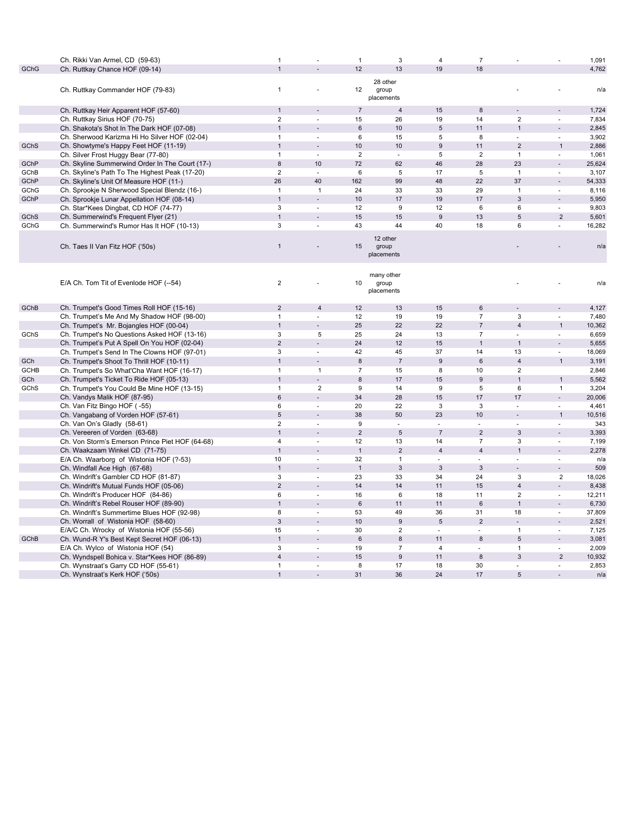|             | Ch. Rikki Van Armel, CD (59-63)                 | $\mathbf{1}$              |                | $\mathbf{1}$     | 3                                 | $\overline{4}$            | $\overline{7}$           |                |                          | 1,091  |
|-------------|-------------------------------------------------|---------------------------|----------------|------------------|-----------------------------------|---------------------------|--------------------------|----------------|--------------------------|--------|
| GChG        | Ch. Ruttkay Chance HOF (09-14)                  |                           |                | 12               | 13                                | 19                        | 18                       |                |                          | 4,762  |
|             | Ch. Ruttkay Commander HOF (79-83)               | $\mathbf{1}$              |                | 12               | 28 other<br>group<br>placements   |                           |                          |                |                          | n/a    |
|             | Ch. Ruttkay Heir Apparent HOF (57-60)           | $\mathbf{1}$              |                | $\boldsymbol{7}$ | $\overline{4}$                    | 15                        | $\bf8$                   |                |                          | 1,724  |
|             | Ch. Ruttkay Sirius HOF (70-75)                  | $\overline{2}$            |                | 15               | 26                                | 19                        | 14                       | $\overline{2}$ | ÷                        | 7,834  |
|             | Ch. Shakota's Shot In The Dark HOF (07-08)      | $\overline{1}$            |                | 6                | 10                                | 5                         | 11                       | $\overline{1}$ | Ē,                       | 2,845  |
|             | Ch. Sherwood Karizma Hi Ho Silver HOF (02-04)   | $\mathbf{1}$              | ٠              | 6                | 15                                | 5                         | 8                        | ä,             | ÷,                       | 3,902  |
| GChS        | Ch. Showtyme's Happy Feet HOF (11-19)           | $\mathbf{1}$              |                | 10               | 10                                | $\boldsymbol{9}$          | 11                       | $\overline{2}$ | $\overline{1}$           | 2,886  |
|             | Ch. Silver Frost Huggy Bear (77-80)             | $\mathbf{1}$              | ÷              | $\overline{2}$   | ×.                                | 5                         | $\overline{2}$           | $\mathbf{1}$   | ÷                        | 1,061  |
| GChP        | Ch. Skyline Summerwind Order In The Court (17-) | 8                         | 10             | 72               | 62                                | 46                        | 28                       | 23             | $\sim$                   | 25,624 |
| GChB        | Ch. Skyline's Path To The Highest Peak (17-20)  | $\overline{c}$            | ÷.             | 6                | 5                                 | 17                        | $\overline{5}$           | $\mathbf{1}$   | ÷                        | 3,107  |
| GChP        | Ch. Skyline's Unit Of Measure HOF (11-)         | 26                        | 40             | 162              | 99                                | 48                        | 22                       | 37             |                          | 54,333 |
| GChG        | Ch. Sprookje N Sherwood Special Blendz (16-)    | $\mathbf{1}$              | $\mathbf{1}$   | 24               | 33                                | 33                        | 29                       | $\mathbf{1}$   | ÷,                       | 8,116  |
| GChP        | Ch. Sprookje Lunar Appellation HOF (08-14)      | $\mathbf{1}$              |                | 10               | 17                                | 19                        | 17                       | 3              |                          | 5,950  |
|             | Ch. Star*Kees Dingbat, CD HOF (74-77)           | 3                         | ÷.             | 12               | 9                                 | 12                        | 6                        | 6              | ÷,                       | 9,803  |
| <b>GChS</b> | Ch. Summerwind's Frequent Flyer (21)            | $\overline{1}$            |                | 15               | 15                                | $\overline{9}$            | 13                       | $\overline{5}$ | 2                        | 5,601  |
| GChG        | Ch. Summerwind's Rumor Has It HOF (10-13)       | 3                         | $\blacksquare$ | 43               | 44                                | 40                        | 18                       | 6              | $\overline{\phantom{a}}$ | 16,282 |
|             |                                                 |                           |                |                  |                                   |                           |                          |                |                          |        |
|             | Ch. Taes II Van Fitz HOF ('50s)                 | $\mathbf{1}$              |                | 15               | 12 other<br>group<br>placements   |                           |                          |                |                          | n/a    |
|             | E/A Ch. Tom Tit of Evenlode HOF (--54)          | $\boldsymbol{2}$          |                | 10               | many other<br>group<br>placements |                           |                          |                |                          | n/a    |
| GChB        | Ch. Trumpet's Good Times Roll HOF (15-16)       | 2                         | $\overline{4}$ | 12               | 13                                | 15                        | 6                        |                |                          | 4,127  |
|             | Ch. Trumpet's Me And My Shadow HOF (98-00)      | $\mathbf{1}$              |                | 12               | 19                                | 19                        | $\overline{7}$           | 3              | $\overline{\phantom{a}}$ | 7,480  |
|             | Ch. Trumpet's Mr. Bojangles HOF (00-04)         | $\mathbf{1}$              |                | 25               | 22                                | 22                        | $\overline{7}$           | $\overline{4}$ | $\overline{1}$           | 10,362 |
| GChS        | Ch. Trumpet's No Questions Asked HOF (13-16)    | 3                         | $\overline{5}$ | 25               | 24                                | 13                        | $\overline{7}$           | Ĭ.             | ÷,                       | 6,659  |
|             | Ch. Trumpet's Put A Spell On You HOF (02-04)    | $\overline{2}$            |                | 24               | 12                                | 15                        | $\overline{1}$           | $\overline{1}$ |                          | 5,655  |
|             |                                                 | 3                         | ÷.             | 42               |                                   | 37                        |                          | 13             | $\bar{a}$                |        |
|             | Ch. Trumpet's Send In The Clowns HOF (97-01)    | $\mathbf{1}$              |                |                  | 45                                |                           | 14                       |                |                          | 18,069 |
| GCh         | Ch. Trumpet's Shoot To Thrill HOF (10-11)       |                           |                | 8                | $\sqrt{7}$                        | 9                         | $\,6\,$                  | $\sqrt{4}$     | $\mathbf{1}$             | 3,191  |
| <b>GCHB</b> | Ch. Trumpet's So What'Cha Want HOF (16-17)      | $\mathbf{1}$              | $\overline{1}$ | $\overline{7}$   | 15                                | 8                         | 10                       | $\sqrt{2}$     |                          | 2,846  |
| GCh         | Ch. Trumpet's Ticket To Ride HOF (05-13)        | $\mathbf{1}$              |                | 8                | 17                                | 15                        | 9                        | $\overline{1}$ | $\mathbf{1}$             | 5,562  |
| GChS        | Ch. Trumpet's You Could Be Mine HOF (13-15)     | $\mathbf{1}$              | $\overline{2}$ | 9                | 14                                | 9                         | 5                        | 6              | $\mathbf{1}$             | 3,204  |
|             | Ch. Vandys Malik HOF (87-95)                    | 6                         |                | 34               | 28                                | 15                        | 17                       | 17             | ÷.                       | 20,006 |
|             | Ch. Van Fitz Bingo HOF (-55)                    | 6                         | ÷.             | 20               | 22                                | 3                         | 3                        | ÷.             | ÷                        | 4,461  |
|             | Ch. Vangabang of Vorden HOF (57-61)             | 5                         |                | 38               | 50                                | 23                        | $10$                     | L.             | $\mathbf{1}$             | 10,516 |
|             | Ch. Van On's Gladly (58-61)                     | $\overline{2}$            | ÷.             | 9                | $\blacksquare$                    | $\sim$                    | ä,                       | ä,             | $\overline{\phantom{a}}$ | 343    |
|             | Ch. Vereeren of Vorden (63-68)                  | $\overline{1}$            |                | $\overline{2}$   | $\overline{5}$                    | $\overline{7}$            | $\overline{2}$           | 3              |                          | 3,393  |
|             | Ch. Von Storm's Emerson Prince Piet HOF (64-68) | 4                         | $\blacksquare$ | 12               | 13                                | 14                        | $\overline{7}$           | 3              | $\overline{\phantom{a}}$ | 7,199  |
|             | Ch. Waakzaam Winkel CD (71-75)                  | $\mathbf{1}$              |                | $\overline{1}$   | $\overline{2}$                    | $\overline{\mathbf{4}}$   | $\overline{4}$           | $\overline{1}$ | $\overline{a}$           | 2,278  |
|             | E/A Ch. Waarborg of Wistonia HOF (?-53)         | 10                        | ÷.             | 32               | $\mathbf{1}$                      | ÷,                        | ä,                       |                | ä,                       | n/a    |
|             | Ch. Windfall Ace High (67-68)                   | $\mathbf{1}$              |                | $\overline{1}$   | $\sqrt{3}$                        | $\ensuremath{\mathsf{3}}$ | $\sqrt{3}$               |                | $\overline{a}$           | 509    |
|             | Ch. Windrift's Gambler CD HOF (81-87)           | 3                         | ÷.             | 23               | 33                                | 34                        | 24                       | 3              | $\overline{2}$           | 18,026 |
|             | Ch. Windrift's Mutual Funds HOF (05-06)         | $\overline{2}$            |                | 14               | 14                                | 11                        | 15                       | $\overline{4}$ | $\overline{a}$           | 8,438  |
|             | Ch. Windrift's Producer HOF (84-86)             | 6                         | ÷.             | 16               | 6                                 | 18                        | 11                       | $\overline{2}$ | $\overline{\phantom{a}}$ | 12,211 |
|             | Ch. Windrift's Rebel Rouser HOF (89-90)         | $\mathbf{1}$              |                | 6                | 11                                | 11                        | $6\phantom{1}6$          | $\overline{1}$ |                          | 6,730  |
|             | Ch. Windrift's Summertime Blues HOF (92-98)     | 8                         | ÷              | 53               | 49                                | 36                        | 31                       | 18             | $\sim$                   | 37,809 |
|             | Ch. Worrall of Wistonia HOF (58-60)             | $\ensuremath{\mathsf{3}}$ |                | 10               | $\boldsymbol{9}$                  | $\sqrt{5}$                | $\sqrt{2}$               |                | Ē,                       | 2,521  |
|             | E/A/C Ch. Wrocky of Wistonia HOF (55-56)        | 15                        | ٠              | 30               | $\overline{2}$                    | ÷,                        | ä,                       | $\mathbf{1}$   | ÷                        | 7,125  |
| GChB        | Ch. Wund-R Y's Best Kept Secret HOF (06-13)     | $\overline{1}$            |                | 6                | $\,8\,$                           | 11                        | 8                        | 5              | Ē,                       | 3,081  |
|             | E/A Ch. Wylco of Wistonia HOF (54)              | 3                         |                | 19               | $\overline{7}$                    | $\overline{4}$            | $\overline{\phantom{a}}$ | $\mathbf{1}$   | $\overline{\phantom{a}}$ | 2,009  |
|             | Ch. Wyndspell Bohica v. Star*Kees HOF (86-89)   | $\overline{4}$            |                | 15               | $\boldsymbol{9}$                  | 11                        | 8                        | 3              | $\overline{2}$           | 10,932 |
|             | Ch. Wynstraat's Garry CD HOF (55-61)            | $\mathbf{1}$              | ä,             | 8                | 17                                | 18                        | 30                       |                | ä,                       | 2,853  |
|             | Ch. Wynstraat's Kerk HOF ('50s)                 | $\mathbf{1}$              |                | 31               | 36                                | 24                        | 17                       | 5              |                          | n/a    |
|             |                                                 |                           |                |                  |                                   |                           |                          |                |                          |        |